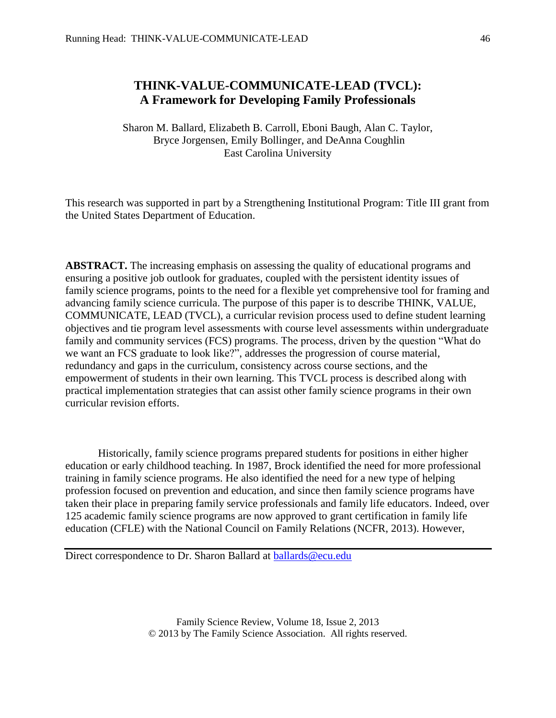# **THINK-VALUE-COMMUNICATE-LEAD (TVCL): A Framework for Developing Family Professionals**

Sharon M. Ballard, Elizabeth B. Carroll, Eboni Baugh, Alan C. Taylor, Bryce Jorgensen, Emily Bollinger, and DeAnna Coughlin East Carolina University

This research was supported in part by a Strengthening Institutional Program: Title III grant from the United States Department of Education.

**ABSTRACT.** The increasing emphasis on assessing the quality of educational programs and ensuring a positive job outlook for graduates, coupled with the persistent identity issues of family science programs, points to the need for a flexible yet comprehensive tool for framing and advancing family science curricula. The purpose of this paper is to describe THINK, VALUE, COMMUNICATE, LEAD (TVCL), a curricular revision process used to define student learning objectives and tie program level assessments with course level assessments within undergraduate family and community services (FCS) programs. The process, driven by the question "What do we want an FCS graduate to look like?", addresses the progression of course material, redundancy and gaps in the curriculum, consistency across course sections, and the empowerment of students in their own learning. This TVCL process is described along with practical implementation strategies that can assist other family science programs in their own curricular revision efforts.

Historically, family science programs prepared students for positions in either higher education or early childhood teaching. In 1987, Brock identified the need for more professional training in family science programs. He also identified the need for a new type of helping profession focused on prevention and education, and since then family science programs have taken their place in preparing family service professionals and family life educators. Indeed, over 125 academic family science programs are now approved to grant certification in family life education (CFLE) with the National Council on Family Relations (NCFR, 2013). However,

Direct correspondence to Dr. Sharon Ballard at **ballards@ecu.edu**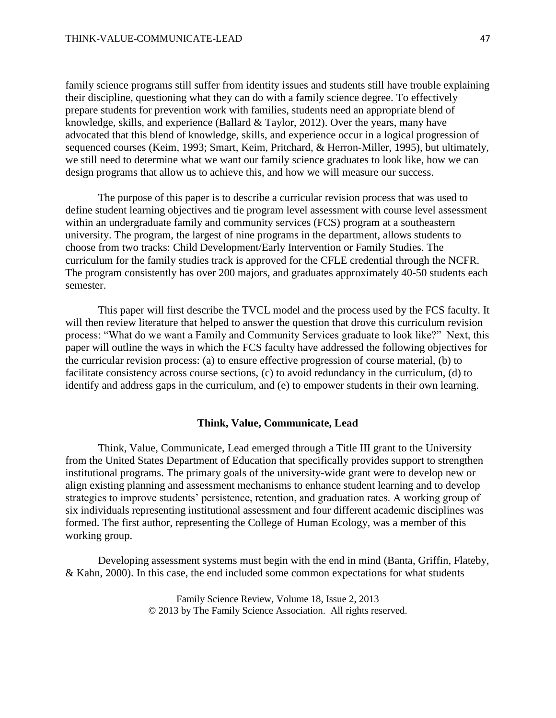family science programs still suffer from identity issues and students still have trouble explaining their discipline, questioning what they can do with a family science degree. To effectively prepare students for prevention work with families, students need an appropriate blend of knowledge, skills, and experience (Ballard & Taylor, 2012). Over the years, many have advocated that this blend of knowledge, skills, and experience occur in a logical progression of sequenced courses (Keim, 1993; Smart, Keim, Pritchard, & Herron-Miller, 1995), but ultimately, we still need to determine what we want our family science graduates to look like, how we can design programs that allow us to achieve this, and how we will measure our success.

The purpose of this paper is to describe a curricular revision process that was used to define student learning objectives and tie program level assessment with course level assessment within an undergraduate family and community services (FCS) program at a southeastern university. The program, the largest of nine programs in the department, allows students to choose from two tracks: Child Development/Early Intervention or Family Studies. The curriculum for the family studies track is approved for the CFLE credential through the NCFR. The program consistently has over 200 majors, and graduates approximately 40-50 students each semester.

This paper will first describe the TVCL model and the process used by the FCS faculty. It will then review literature that helped to answer the question that drove this curriculum revision process: "What do we want a Family and Community Services graduate to look like?" Next, this paper will outline the ways in which the FCS faculty have addressed the following objectives for the curricular revision process: (a) to ensure effective progression of course material, (b) to facilitate consistency across course sections, (c) to avoid redundancy in the curriculum, (d) to identify and address gaps in the curriculum, and (e) to empower students in their own learning.

## **Think, Value, Communicate, Lead**

Think, Value, Communicate, Lead emerged through a Title III grant to the University from the United States Department of Education that specifically provides support to strengthen institutional programs. The primary goals of the university-wide grant were to develop new or align existing planning and assessment mechanisms to enhance student learning and to develop strategies to improve students' persistence, retention, and graduation rates. A working group of six individuals representing institutional assessment and four different academic disciplines was formed. The first author, representing the College of Human Ecology, was a member of this working group.

Developing assessment systems must begin with the end in mind (Banta, Griffin, Flateby, & Kahn, 2000). In this case, the end included some common expectations for what students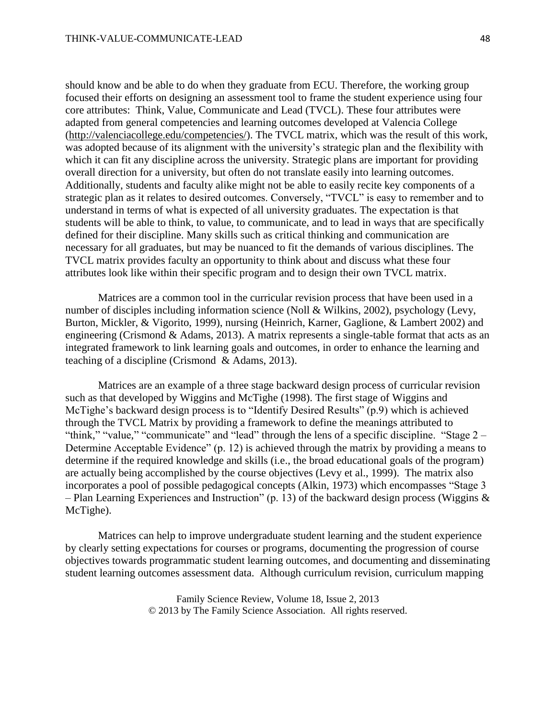should know and be able to do when they graduate from ECU. Therefore, the working group focused their efforts on designing an assessment tool to frame the student experience using four core attributes: Think, Value, Communicate and Lead (TVCL). These four attributes were adapted from general competencies and learning outcomes developed at Valencia College [\(http://valenciacollege.edu/competencies/\)](http://valenciacollege.edu/competencies/). The TVCL matrix, which was the result of this work, was adopted because of its alignment with the university's strategic plan and the flexibility with which it can fit any discipline across the university. Strategic plans are important for providing overall direction for a university, but often do not translate easily into learning outcomes. Additionally, students and faculty alike might not be able to easily recite key components of a strategic plan as it relates to desired outcomes. Conversely, "TVCL" is easy to remember and to understand in terms of what is expected of all university graduates. The expectation is that students will be able to think, to value, to communicate, and to lead in ways that are specifically defined for their discipline. Many skills such as critical thinking and communication are necessary for all graduates, but may be nuanced to fit the demands of various disciplines. The TVCL matrix provides faculty an opportunity to think about and discuss what these four attributes look like within their specific program and to design their own TVCL matrix.

Matrices are a common tool in the curricular revision process that have been used in a number of disciples including information science (Noll & Wilkins, 2002), psychology (Levy, Burton, Mickler, & Vigorito, 1999), nursing (Heinrich, Karner, Gaglione, & Lambert 2002) and engineering (Crismond & Adams, 2013). A matrix represents a single-table format that acts as an integrated framework to link learning goals and outcomes, in order to enhance the learning and teaching of a discipline (Crismond & Adams, 2013).

Matrices are an example of a three stage backward design process of curricular revision such as that developed by Wiggins and McTighe (1998). The first stage of Wiggins and McTighe's backward design process is to "Identify Desired Results" (p.9) which is achieved through the TVCL Matrix by providing a framework to define the meanings attributed to "think," "value," "communicate" and "lead" through the lens of a specific discipline. "Stage 2 – Determine Acceptable Evidence" (p. 12) is achieved through the matrix by providing a means to determine if the required knowledge and skills (i.e., the broad educational goals of the program) are actually being accomplished by the course objectives (Levy et al., 1999). The matrix also incorporates a pool of possible pedagogical concepts (Alkin, 1973) which encompasses "Stage 3 – Plan Learning Experiences and Instruction" (p. 13) of the backward design process (Wiggins & McTighe).

Matrices can help to improve undergraduate student learning and the student experience by clearly setting expectations for courses or programs, documenting the progression of course objectives towards programmatic student learning outcomes, and documenting and disseminating student learning outcomes assessment data. Although curriculum revision, curriculum mapping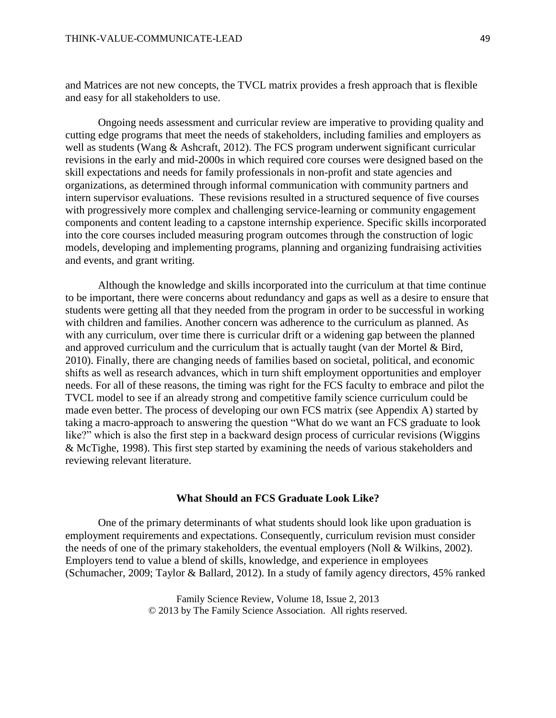and Matrices are not new concepts, the TVCL matrix provides a fresh approach that is flexible and easy for all stakeholders to use.

Ongoing needs assessment and curricular review are imperative to providing quality and cutting edge programs that meet the needs of stakeholders, including families and employers as well as students (Wang & Ashcraft, 2012). The FCS program underwent significant curricular revisions in the early and mid-2000s in which required core courses were designed based on the skill expectations and needs for family professionals in non-profit and state agencies and organizations, as determined through informal communication with community partners and intern supervisor evaluations. These revisions resulted in a structured sequence of five courses with progressively more complex and challenging service-learning or community engagement components and content leading to a capstone internship experience. Specific skills incorporated into the core courses included measuring program outcomes through the construction of logic models, developing and implementing programs, planning and organizing fundraising activities and events, and grant writing.

Although the knowledge and skills incorporated into the curriculum at that time continue to be important, there were concerns about redundancy and gaps as well as a desire to ensure that students were getting all that they needed from the program in order to be successful in working with children and families. Another concern was adherence to the curriculum as planned. As with any curriculum, over time there is curricular drift or a widening gap between the planned and approved curriculum and the curriculum that is actually taught (van der Mortel & Bird, 2010). Finally, there are changing needs of families based on societal, political, and economic shifts as well as research advances, which in turn shift employment opportunities and employer needs. For all of these reasons, the timing was right for the FCS faculty to embrace and pilot the TVCL model to see if an already strong and competitive family science curriculum could be made even better. The process of developing our own FCS matrix (see Appendix A) started by taking a macro-approach to answering the question "What do we want an FCS graduate to look like?" which is also the first step in a backward design process of curricular revisions (Wiggins & McTighe, 1998). This first step started by examining the needs of various stakeholders and reviewing relevant literature.

# **What Should an FCS Graduate Look Like?**

One of the primary determinants of what students should look like upon graduation is employment requirements and expectations. Consequently, curriculum revision must consider the needs of one of the primary stakeholders, the eventual employers (Noll & Wilkins, 2002). Employers tend to value a blend of skills, knowledge, and experience in employees (Schumacher, 2009; Taylor & Ballard, 2012). In a study of family agency directors, 45% ranked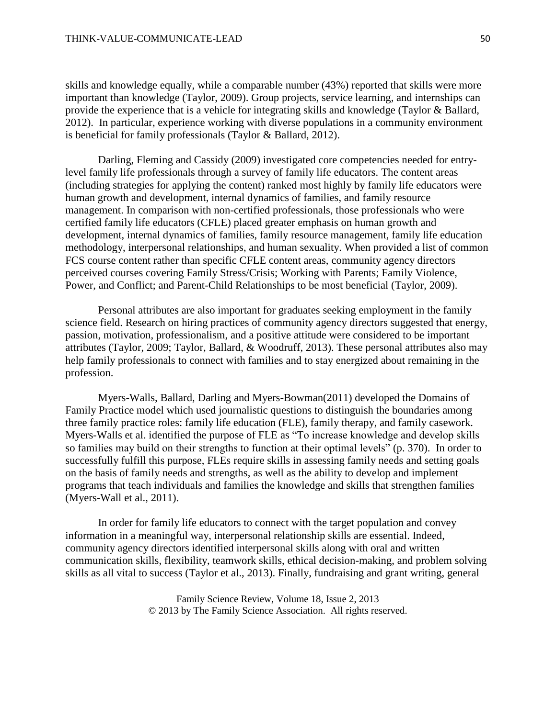skills and knowledge equally, while a comparable number (43%) reported that skills were more important than knowledge (Taylor, 2009). Group projects, service learning, and internships can provide the experience that is a vehicle for integrating skills and knowledge (Taylor & Ballard, 2012). In particular, experience working with diverse populations in a community environment is beneficial for family professionals (Taylor & Ballard, 2012).

Darling, Fleming and Cassidy (2009) investigated core competencies needed for entrylevel family life professionals through a survey of family life educators. The content areas (including strategies for applying the content) ranked most highly by family life educators were human growth and development, internal dynamics of families, and family resource management. In comparison with non-certified professionals, those professionals who were certified family life educators (CFLE) placed greater emphasis on human growth and development, internal dynamics of families, family resource management, family life education methodology, interpersonal relationships, and human sexuality. When provided a list of common FCS course content rather than specific CFLE content areas, community agency directors perceived courses covering Family Stress/Crisis; Working with Parents; Family Violence, Power, and Conflict; and Parent-Child Relationships to be most beneficial (Taylor, 2009).

Personal attributes are also important for graduates seeking employment in the family science field. Research on hiring practices of community agency directors suggested that energy, passion, motivation, professionalism, and a positive attitude were considered to be important attributes (Taylor, 2009; Taylor, Ballard, & Woodruff, 2013). These personal attributes also may help family professionals to connect with families and to stay energized about remaining in the profession.

Myers-Walls, Ballard, Darling and Myers-Bowman(2011) developed the Domains of Family Practice model which used journalistic questions to distinguish the boundaries among three family practice roles: family life education (FLE), family therapy, and family casework. Myers-Walls et al. identified the purpose of FLE as "To increase knowledge and develop skills so families may build on their strengths to function at their optimal levels" (p. 370). In order to successfully fulfill this purpose, FLEs require skills in assessing family needs and setting goals on the basis of family needs and strengths, as well as the ability to develop and implement programs that teach individuals and families the knowledge and skills that strengthen families (Myers-Wall et al., 2011).

In order for family life educators to connect with the target population and convey information in a meaningful way, interpersonal relationship skills are essential. Indeed, community agency directors identified interpersonal skills along with oral and written communication skills, flexibility, teamwork skills, ethical decision-making, and problem solving skills as all vital to success (Taylor et al., 2013). Finally, fundraising and grant writing, general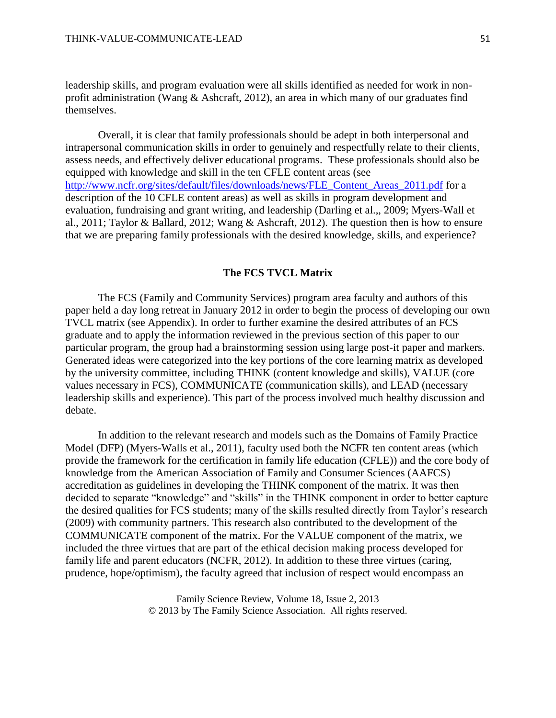leadership skills, and program evaluation were all skills identified as needed for work in nonprofit administration (Wang & Ashcraft, 2012), an area in which many of our graduates find themselves.

Overall, it is clear that family professionals should be adept in both interpersonal and intrapersonal communication skills in order to genuinely and respectfully relate to their clients, assess needs, and effectively deliver educational programs. These professionals should also be equipped with knowledge and skill in the ten CFLE content areas (see [http://www.ncfr.org/sites/default/files/downloads/news/FLE\\_Content\\_Areas\\_2011.pdf](http://www.ncfr.org/sites/default/files/downloads/news/FLE_Content_Areas_2011.pdf) for a description of the 10 CFLE content areas) as well as skills in program development and evaluation, fundraising and grant writing, and leadership (Darling et al.,, 2009; Myers-Wall et al., 2011; Taylor & Ballard, 2012; Wang & Ashcraft, 2012). The question then is how to ensure that we are preparing family professionals with the desired knowledge, skills, and experience?

#### **The FCS TVCL Matrix**

The FCS (Family and Community Services) program area faculty and authors of this paper held a day long retreat in January 2012 in order to begin the process of developing our own TVCL matrix (see Appendix). In order to further examine the desired attributes of an FCS graduate and to apply the information reviewed in the previous section of this paper to our particular program, the group had a brainstorming session using large post-it paper and markers. Generated ideas were categorized into the key portions of the core learning matrix as developed by the university committee, including THINK (content knowledge and skills), VALUE (core values necessary in FCS), COMMUNICATE (communication skills), and LEAD (necessary leadership skills and experience). This part of the process involved much healthy discussion and debate.

In addition to the relevant research and models such as the Domains of Family Practice Model (DFP) (Myers-Walls et al., 2011), faculty used both the NCFR ten content areas (which provide the framework for the certification in family life education (CFLE)) and the core body of knowledge from the American Association of Family and Consumer Sciences (AAFCS) accreditation as guidelines in developing the THINK component of the matrix. It was then decided to separate "knowledge" and "skills" in the THINK component in order to better capture the desired qualities for FCS students; many of the skills resulted directly from Taylor's research (2009) with community partners. This research also contributed to the development of the COMMUNICATE component of the matrix. For the VALUE component of the matrix, we included the three virtues that are part of the ethical decision making process developed for family life and parent educators (NCFR, 2012). In addition to these three virtues (caring, prudence, hope/optimism), the faculty agreed that inclusion of respect would encompass an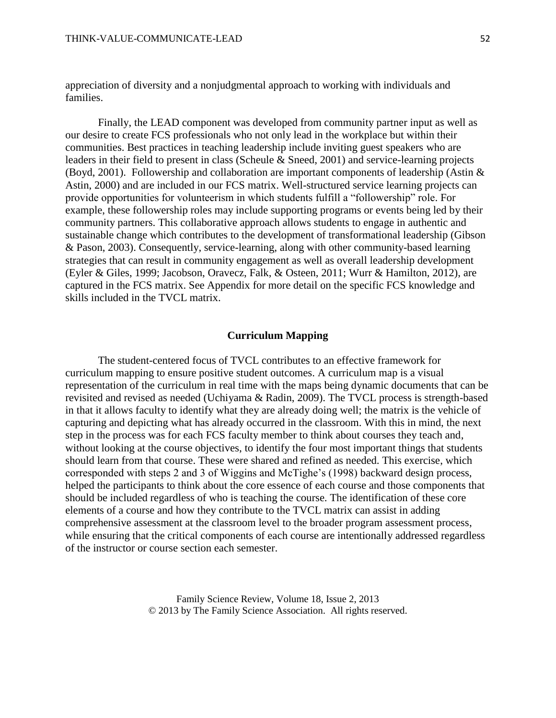appreciation of diversity and a nonjudgmental approach to working with individuals and families.

Finally, the LEAD component was developed from community partner input as well as our desire to create FCS professionals who not only lead in the workplace but within their communities. Best practices in teaching leadership include inviting guest speakers who are leaders in their field to present in class (Scheule & Sneed, 2001) and service-learning projects (Boyd, 2001). Followership and collaboration are important components of leadership (Astin & Astin, 2000) and are included in our FCS matrix. Well-structured service learning projects can provide opportunities for volunteerism in which students fulfill a "followership" role. For example, these followership roles may include supporting programs or events being led by their community partners. This collaborative approach allows students to engage in authentic and sustainable change which contributes to the development of transformational leadership (Gibson & Pason, 2003). Consequently, service-learning, along with other community-based learning strategies that can result in community engagement as well as overall leadership development (Eyler & Giles, 1999; Jacobson, Oravecz, Falk, & Osteen, 2011; Wurr & Hamilton, 2012), are captured in the FCS matrix. See Appendix for more detail on the specific FCS knowledge and skills included in the TVCL matrix.

## **Curriculum Mapping**

The student-centered focus of TVCL contributes to an effective framework for curriculum mapping to ensure positive student outcomes. A curriculum map is a visual representation of the curriculum in real time with the maps being dynamic documents that can be revisited and revised as needed (Uchiyama & Radin, 2009). The TVCL process is strength-based in that it allows faculty to identify what they are already doing well; the matrix is the vehicle of capturing and depicting what has already occurred in the classroom. With this in mind, the next step in the process was for each FCS faculty member to think about courses they teach and, without looking at the course objectives, to identify the four most important things that students should learn from that course. These were shared and refined as needed. This exercise, which corresponded with steps 2 and 3 of Wiggins and McTighe's (1998) backward design process, helped the participants to think about the core essence of each course and those components that should be included regardless of who is teaching the course. The identification of these core elements of a course and how they contribute to the TVCL matrix can assist in adding comprehensive assessment at the classroom level to the broader program assessment process, while ensuring that the critical components of each course are intentionally addressed regardless of the instructor or course section each semester.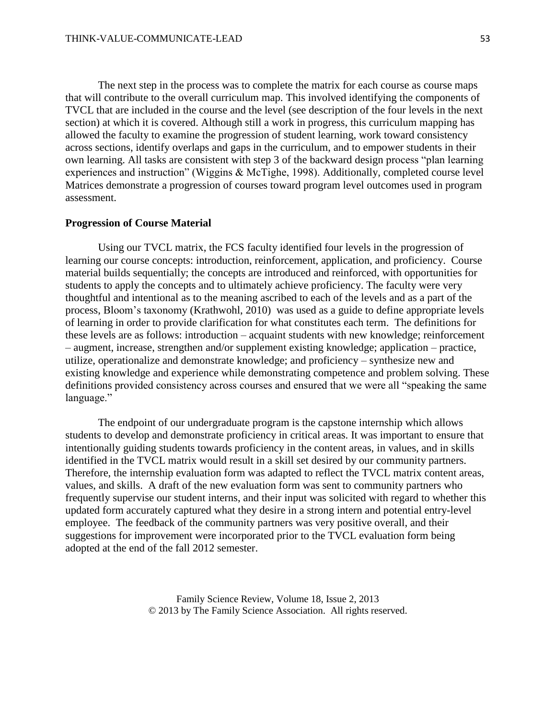The next step in the process was to complete the matrix for each course as course maps that will contribute to the overall curriculum map. This involved identifying the components of TVCL that are included in the course and the level (see description of the four levels in the next section) at which it is covered. Although still a work in progress, this curriculum mapping has allowed the faculty to examine the progression of student learning, work toward consistency across sections, identify overlaps and gaps in the curriculum, and to empower students in their own learning. All tasks are consistent with step 3 of the backward design process "plan learning experiences and instruction" (Wiggins & McTighe, 1998). Additionally, completed course level Matrices demonstrate a progression of courses toward program level outcomes used in program assessment.

#### **Progression of Course Material**

Using our TVCL matrix, the FCS faculty identified four levels in the progression of learning our course concepts: introduction, reinforcement, application, and proficiency. Course material builds sequentially; the concepts are introduced and reinforced, with opportunities for students to apply the concepts and to ultimately achieve proficiency. The faculty were very thoughtful and intentional as to the meaning ascribed to each of the levels and as a part of the process, Bloom's taxonomy (Krathwohl, 2010) was used as a guide to define appropriate levels of learning in order to provide clarification for what constitutes each term. The definitions for these levels are as follows: introduction – acquaint students with new knowledge; reinforcement – augment, increase, strengthen and/or supplement existing knowledge; application – practice, utilize, operationalize and demonstrate knowledge; and proficiency – synthesize new and existing knowledge and experience while demonstrating competence and problem solving. These definitions provided consistency across courses and ensured that we were all "speaking the same language."

The endpoint of our undergraduate program is the capstone internship which allows students to develop and demonstrate proficiency in critical areas. It was important to ensure that intentionally guiding students towards proficiency in the content areas, in values, and in skills identified in the TVCL matrix would result in a skill set desired by our community partners. Therefore, the internship evaluation form was adapted to reflect the TVCL matrix content areas, values, and skills. A draft of the new evaluation form was sent to community partners who frequently supervise our student interns, and their input was solicited with regard to whether this updated form accurately captured what they desire in a strong intern and potential entry-level employee. The feedback of the community partners was very positive overall, and their suggestions for improvement were incorporated prior to the TVCL evaluation form being adopted at the end of the fall 2012 semester.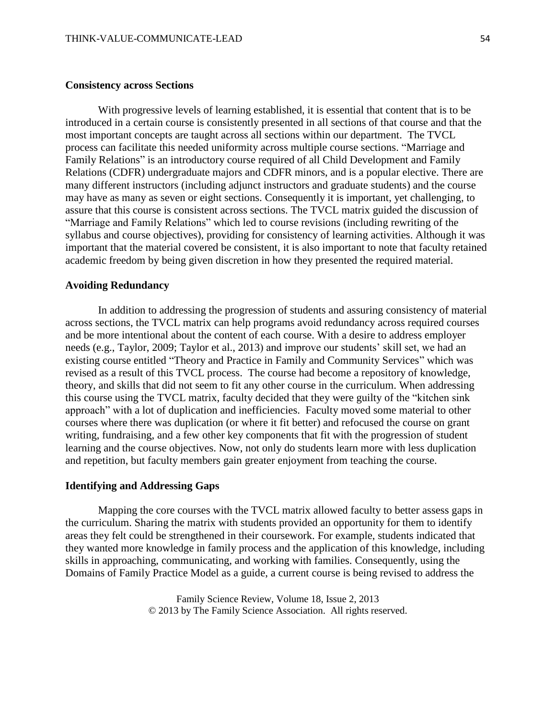#### **Consistency across Sections**

With progressive levels of learning established, it is essential that content that is to be introduced in a certain course is consistently presented in all sections of that course and that the most important concepts are taught across all sections within our department. The TVCL process can facilitate this needed uniformity across multiple course sections. "Marriage and Family Relations" is an introductory course required of all Child Development and Family Relations (CDFR) undergraduate majors and CDFR minors, and is a popular elective. There are many different instructors (including adjunct instructors and graduate students) and the course may have as many as seven or eight sections. Consequently it is important, yet challenging, to assure that this course is consistent across sections. The TVCL matrix guided the discussion of "Marriage and Family Relations" which led to course revisions (including rewriting of the syllabus and course objectives), providing for consistency of learning activities. Although it was important that the material covered be consistent, it is also important to note that faculty retained academic freedom by being given discretion in how they presented the required material.

## **Avoiding Redundancy**

In addition to addressing the progression of students and assuring consistency of material across sections, the TVCL matrix can help programs avoid redundancy across required courses and be more intentional about the content of each course. With a desire to address employer needs (e.g., Taylor, 2009; Taylor et al., 2013) and improve our students' skill set, we had an existing course entitled "Theory and Practice in Family and Community Services" which was revised as a result of this TVCL process. The course had become a repository of knowledge, theory, and skills that did not seem to fit any other course in the curriculum. When addressing this course using the TVCL matrix, faculty decided that they were guilty of the "kitchen sink approach" with a lot of duplication and inefficiencies. Faculty moved some material to other courses where there was duplication (or where it fit better) and refocused the course on grant writing, fundraising, and a few other key components that fit with the progression of student learning and the course objectives. Now, not only do students learn more with less duplication and repetition, but faculty members gain greater enjoyment from teaching the course.

### **Identifying and Addressing Gaps**

Mapping the core courses with the TVCL matrix allowed faculty to better assess gaps in the curriculum. Sharing the matrix with students provided an opportunity for them to identify areas they felt could be strengthened in their coursework. For example, students indicated that they wanted more knowledge in family process and the application of this knowledge, including skills in approaching, communicating, and working with families. Consequently, using the Domains of Family Practice Model as a guide, a current course is being revised to address the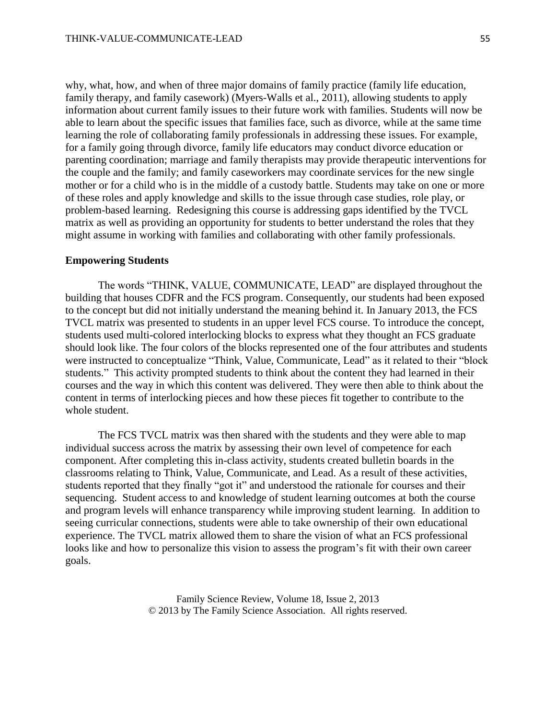why, what, how, and when of three major domains of family practice (family life education, family therapy, and family casework) (Myers-Walls et al., 2011), allowing students to apply information about current family issues to their future work with families. Students will now be able to learn about the specific issues that families face, such as divorce, while at the same time learning the role of collaborating family professionals in addressing these issues. For example, for a family going through divorce, family life educators may conduct divorce education or parenting coordination; marriage and family therapists may provide therapeutic interventions for the couple and the family; and family caseworkers may coordinate services for the new single mother or for a child who is in the middle of a custody battle. Students may take on one or more of these roles and apply knowledge and skills to the issue through case studies, role play, or problem-based learning. Redesigning this course is addressing gaps identified by the TVCL matrix as well as providing an opportunity for students to better understand the roles that they might assume in working with families and collaborating with other family professionals.

#### **Empowering Students**

The words "THINK, VALUE, COMMUNICATE, LEAD" are displayed throughout the building that houses CDFR and the FCS program. Consequently, our students had been exposed to the concept but did not initially understand the meaning behind it. In January 2013, the FCS TVCL matrix was presented to students in an upper level FCS course. To introduce the concept, students used multi-colored interlocking blocks to express what they thought an FCS graduate should look like. The four colors of the blocks represented one of the four attributes and students were instructed to conceptualize "Think, Value, Communicate, Lead" as it related to their "block students." This activity prompted students to think about the content they had learned in their courses and the way in which this content was delivered. They were then able to think about the content in terms of interlocking pieces and how these pieces fit together to contribute to the whole student.

The FCS TVCL matrix was then shared with the students and they were able to map individual success across the matrix by assessing their own level of competence for each component. After completing this in-class activity, students created bulletin boards in the classrooms relating to Think, Value, Communicate, and Lead. As a result of these activities, students reported that they finally "got it" and understood the rationale for courses and their sequencing. Student access to and knowledge of student learning outcomes at both the course and program levels will enhance transparency while improving student learning. In addition to seeing curricular connections, students were able to take ownership of their own educational experience. The TVCL matrix allowed them to share the vision of what an FCS professional looks like and how to personalize this vision to assess the program's fit with their own career goals.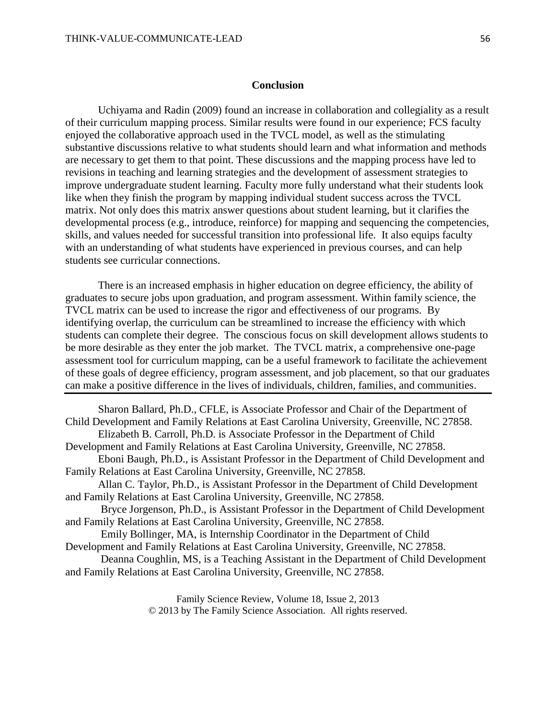## **Conclusion**

Uchiyama and Radin (2009) found an increase in collaboration and collegiality as a result of their curriculum mapping process. Similar results were found in our experience; FCS faculty enjoyed the collaborative approach used in the TVCL model, as well as the stimulating substantive discussions relative to what students should learn and what information and methods are necessary to get them to that point. These discussions and the mapping process have led to revisions in teaching and learning strategies and the development of assessment strategies to improve undergraduate student learning. Faculty more fully understand what their students look like when they finish the program by mapping individual student success across the TVCL matrix. Not only does this matrix answer questions about student learning, but it clarifies the developmental process (e.g., introduce, reinforce) for mapping and sequencing the competencies, skills, and values needed for successful transition into professional life. It also equips faculty with an understanding of what students have experienced in previous courses, and can help students see curricular connections.

There is an increased emphasis in higher education on degree efficiency, the ability of graduates to secure jobs upon graduation, and program assessment. Within family science, the TVCL matrix can be used to increase the rigor and effectiveness of our programs. By identifying overlap, the curriculum can be streamlined to increase the efficiency with which students can complete their degree. The conscious focus on skill development allows students to be more desirable as they enter the job market. The TVCL matrix, a comprehensive one-page assessment tool for curriculum mapping, can be a useful framework to facilitate the achievement of these goals of degree efficiency, program assessment, and job placement, so that our graduates can make a positive difference in the lives of individuals, children, families, and communities.

Sharon Ballard, Ph.D., CFLE, is Associate Professor and Chair of the Department of Child Development and Family Relations at East Carolina University, Greenville, NC 27858. Elizabeth B. Carroll, Ph.D. is Associate Professor in the Department of Child Development and Family Relations at East Carolina University, Greenville, NC 27858. Eboni Baugh, Ph.D., is Assistant Professor in the Department of Child Development and Family Relations at East Carolina University, Greenville, NC 27858. Allan C. Taylor, Ph.D., is Assistant Professor in the Department of Child Development and Family Relations at East Carolina University, Greenville, NC 27858. Bryce Jorgenson, Ph.D., is Assistant Professor in the Department of Child Development and Family Relations at East Carolina University, Greenville, NC 27858. Emily Bollinger, MA, is Internship Coordinator in the Department of Child Development and Family Relations at East Carolina University, Greenville, NC 27858. Deanna Coughlin, MS, is a Teaching Assistant in the Department of Child Development and Family Relations at East Carolina University, Greenville, NC 27858.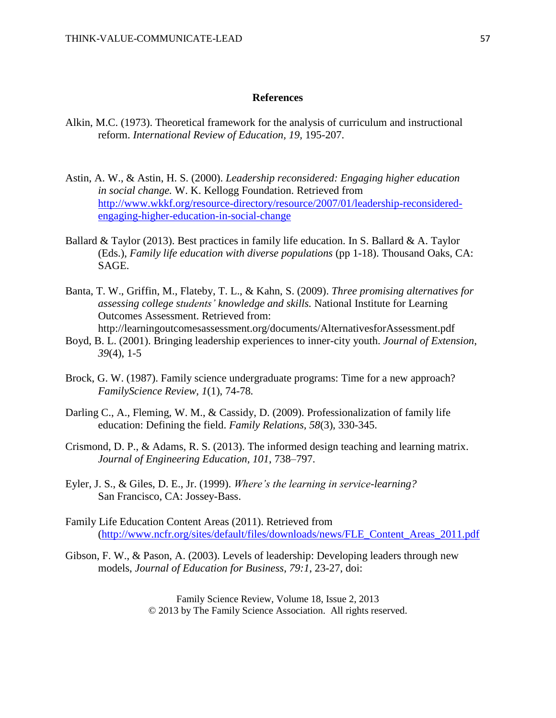#### **References**

- Alkin, M.C. (1973). Theoretical framework for the analysis of curriculum and instructional reform. *International Review of Education, 19,* 195-207.
- Astin, A. W., & Astin, H. S. (2000). *Leadership reconsidered: Engaging higher education in social change.* W. K. Kellogg Foundation. Retrieved from [http://www.wkkf.org/resource-directory/resource/2007/01/leadership-reconsidered](http://www.wkkf.org/resource-directory/resource/2007/01/leadership-reconsidered-engaging-higher-education-in-social-change)[engaging-higher-education-in-social-change](http://www.wkkf.org/resource-directory/resource/2007/01/leadership-reconsidered-engaging-higher-education-in-social-change)
- Ballard & Taylor (2013). Best practices in family life education. In S. Ballard & A. Taylor (Eds.), *Family life education with diverse populations* (pp 1-18). Thousand Oaks, CA: SAGE.
- Banta, T. W., Griffin, M., Flateby, T. L., & Kahn, S. (2009). *Three promising alternatives for assessing college students' knowledge and skills.* National Institute for Learning Outcomes Assessment. Retrieved from: http://learningoutcomesassessment.org/documents/AlternativesforAssessment.pdf
- Boyd, B. L. (2001). Bringing leadership experiences to inner-city youth. *Journal of Extension*, *39*(4), 1-5
- Brock, G. W. (1987). Family science undergraduate programs: Time for a new approach? *FamilyScience Review, 1*(1), 74-78*.*
- Darling C., A., Fleming, W. M., & Cassidy, D. (2009). Professionalization of family life education: Defining the field. *Family Relations, 58*(3), 330-345.
- Crismond, D. P., & Adams, R. S. (2013). The informed design teaching and learning matrix. *Journal of Engineering Education, 101*, 738–797.
- Eyler, J. S., & Giles, D. E., Jr. (1999). *Where's the learning in service-learning?* San Francisco, CA: Jossey-Bass.
- Family Life Education Content Areas (2011). Retrieved from [\(http://www.ncfr.org/sites/default/files/downloads/news/FLE\\_Content\\_Areas\\_2011.pdf](http://www.ncfr.org/sites/default/files/downloads/news/FLE_Content_Areas_2011.pdf)
- Gibson, F. W., & Pason, A. (2003). Levels of leadership: Developing leaders through new models, *Journal of Education for Business*, *79:1*, 23-27, doi: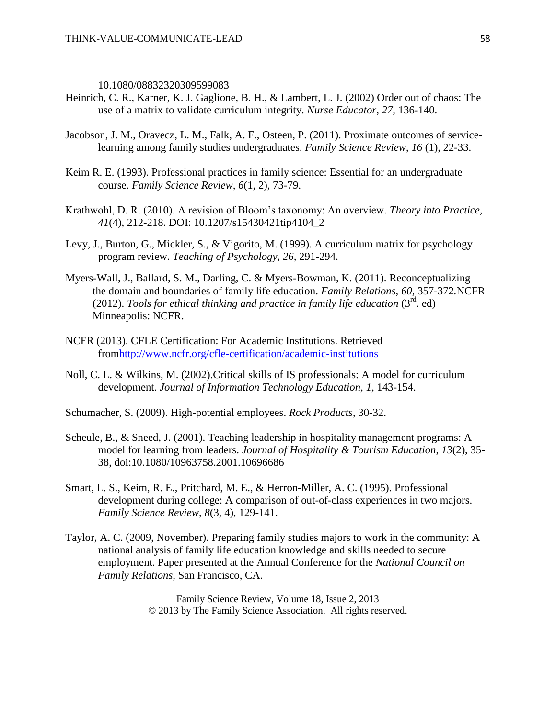10.1080/08832320309599083

- Heinrich, C. R., Karner, K. J. Gaglione, B. H., & Lambert, L. J. (2002) Order out of chaos: The use of a matrix to validate curriculum integrity. *Nurse Educator, 27,* 136-140.
- Jacobson, J. M., Oravecz, L. M., Falk, A. F., Osteen, P. (2011). Proximate outcomes of servicelearning among family studies undergraduates. *Family Science Review*, *16* (1), 22-33.
- Keim R. E. (1993). Professional practices in family science: Essential for an undergraduate course. *Family Science Review, 6*(1, 2), 73-79.
- Krathwohl, D. R. (2010). A revision of Bloom's taxonomy: An overview. *Theory into Practice, 41*(4), 212-218. DOI: 10.1207/s15430421tip4104\_2
- Levy, J., Burton, G., Mickler, S., & Vigorito, M. (1999). A curriculum matrix for psychology program review. *Teaching of Psychology, 26,* 291-294.
- Myers-Wall, J., Ballard, S. M., Darling, C. & Myers-Bowman, K. (2011). Reconceptualizing the domain and boundaries of family life education. *Family Relations, 60,* 357-372*.*NCFR (2012). *Tools for ethical thinking and practice in family life education* (3rd. ed) Minneapolis: NCFR.
- NCFR (2013). CFLE Certification: For Academic Institutions. Retrieved fro[mhttp://www.ncfr.org/cfle-certification/academic-institutions](http://www.ncfr.org/cfle-certification/academic-institutions)
- Noll, C. L. & Wilkins, M. (2002).Critical skills of IS professionals: A model for curriculum development. *Journal of Information Technology Education, 1,* 143-154.

Schumacher, S. (2009). High-potential employees. *Rock Products*, 30-32.

- Scheule, B., & Sneed, J. (2001). Teaching leadership in hospitality management programs: A model for learning from leaders. *Journal of Hospitality & Tourism Education*, *13*(2), 35- 38, doi:10.1080/10963758.2001.10696686
- Smart, L. S., Keim, R. E., Pritchard, M. E., & Herron-Miller, A. C. (1995). Professional development during college: A comparison of out-of-class experiences in two majors. *Family Science Review, 8*(3, 4), 129-141.
- Taylor, A. C. (2009, November). Preparing family studies majors to work in the community: A national analysis of family life education knowledge and skills needed to secure employment. Paper presented at the Annual Conference for the *National Council on Family Relations*, San Francisco, CA.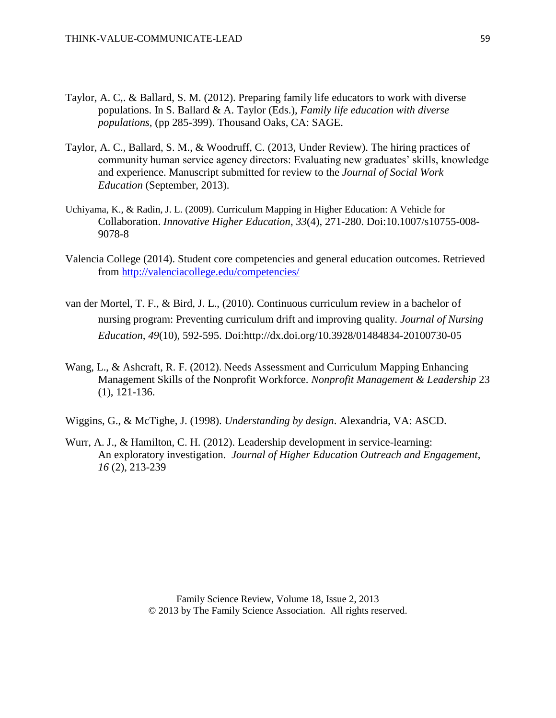- Taylor, A. C,. & Ballard, S. M. (2012). Preparing family life educators to work with diverse populations. In S. Ballard & A. Taylor (Eds.), *Family life education with diverse populations,* (pp 285-399). Thousand Oaks, CA: SAGE.
- Taylor, A. C., Ballard, S. M., & Woodruff, C. (2013, Under Review). The hiring practices of community human service agency directors: Evaluating new graduates' skills, knowledge and experience. Manuscript submitted for review to the *Journal of Social Work Education* (September, 2013).
- Uchiyama, K., & Radin, J. L. (2009). Curriculum Mapping in Higher Education: A Vehicle for Collaboration. *Innovative Higher Education*, *33*(4), 271-280. Doi:10.1007/s10755-008- 9078-8
- Valencia College (2014). Student core competencies and general education outcomes. Retrieved from<http://valenciacollege.edu/competencies/>
- van der Mortel, T. F., & Bird, J. L., (2010). Continuous curriculum review in a bachelor of nursing program: Preventing curriculum drift and improving quality. *Journal of Nursing Education, 49*(10), 592-595. Doi:http://dx.doi.org/10.3928/01484834-20100730-05
- Wang, L., & Ashcraft, R. F. (2012). Needs Assessment and Curriculum Mapping Enhancing Management Skills of the Nonprofit Workforce. *Nonprofit Management & Leadership* 23 (1), 121-136.

Wiggins, G., & McTighe, J. (1998). *Understanding by design*. Alexandria, VA: ASCD.

Wurr, A. J., & Hamilton, C. H. (2012). Leadership development in service-learning: An exploratory investigation. *Journal of Higher Education Outreach and Engagement*, *16* (2), 213-239